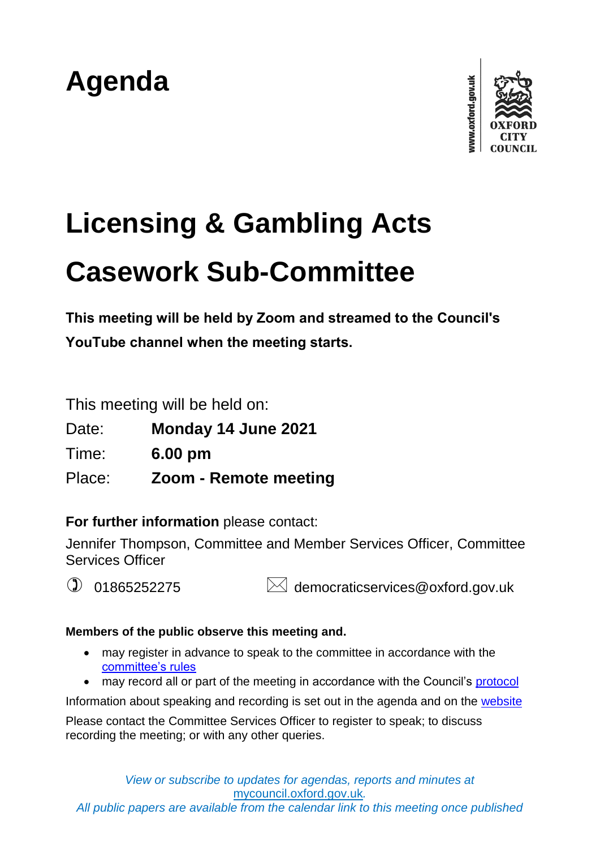# **Agenda**



# **Licensing & Gambling Acts Casework Sub-Committee**

**This meeting will be held by Zoom and streamed to the Council's YouTube channel when the meeting starts.**

This meeting will be held on:

Date: **Monday 14 June 2021**

Time: **6.00 pm**

Place: **Zoom - Remote meeting**

**For further information** please contact:

Jennifer Thompson, Committee and Member Services Officer, Committee Services Officer

 $\circled{1}$  01865252275  $\bullet$  democraticservices@oxford.gov.uk

## **Members of the public observe this meeting and.**

- may register in advance to speak to the committee in accordance with the [committee's rules](https://www.oxford.gov.uk/info/20236/getting_involved_at_council_meetings)
- may record all or part of the meeting in accordance with the Council's [protocol](https://www.oxford.gov.uk/downloads/file/1100/protocol_for_recording_at_public_meetings)

Information about speaking and recording is set out in the agenda and on the [website](https://www.oxford.gov.uk/info/20236/getting_involved_at_council_meetings)

Please contact the Committee Services Officer to register to speak; to discuss recording the meeting; or with any other queries.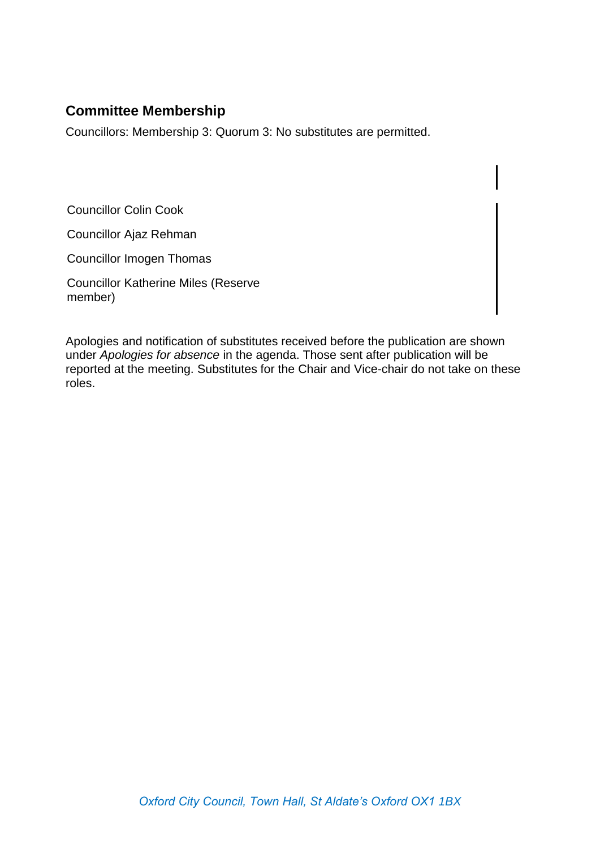# **Committee Membership**

Councillors: Membership 3: Quorum 3: No substitutes are permitted.

Councillor Colin Cook

Councillor Ajaz Rehman

Councillor Imogen Thomas

Councillor Katherine Miles (Reserve member)

Apologies and notification of substitutes received before the publication are shown under *Apologies for absence* in the agenda. Those sent after publication will be reported at the meeting. Substitutes for the Chair and Vice-chair do not take on these roles.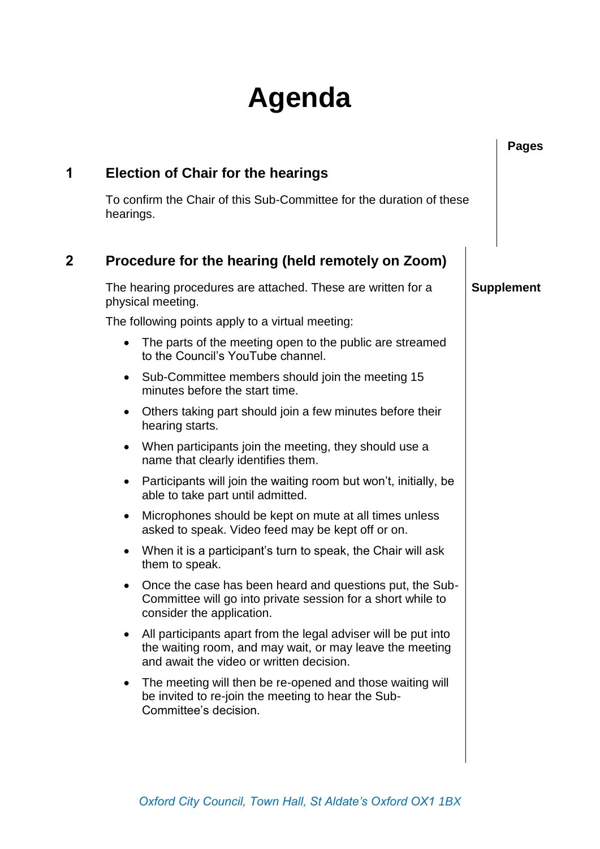# **Agenda**

|   |                                                                                                                                                                             | <b>Pages</b>      |
|---|-----------------------------------------------------------------------------------------------------------------------------------------------------------------------------|-------------------|
| 1 | <b>Election of Chair for the hearings</b>                                                                                                                                   |                   |
|   | To confirm the Chair of this Sub-Committee for the duration of these<br>hearings.                                                                                           |                   |
| 2 | Procedure for the hearing (held remotely on Zoom)                                                                                                                           |                   |
|   | The hearing procedures are attached. These are written for a<br>physical meeting.                                                                                           | <b>Supplement</b> |
|   | The following points apply to a virtual meeting:                                                                                                                            |                   |
|   | The parts of the meeting open to the public are streamed<br>$\bullet$<br>to the Council's YouTube channel.                                                                  |                   |
|   | Sub-Committee members should join the meeting 15<br>$\bullet$<br>minutes before the start time.                                                                             |                   |
|   | Others taking part should join a few minutes before their<br>$\bullet$<br>hearing starts.                                                                                   |                   |
|   | When participants join the meeting, they should use a<br>$\bullet$<br>name that clearly identifies them.                                                                    |                   |
|   | Participants will join the waiting room but won't, initially, be<br>$\bullet$<br>able to take part until admitted.                                                          |                   |
|   | Microphones should be kept on mute at all times unless<br>$\bullet$<br>asked to speak. Video feed may be kept off or on.                                                    |                   |
|   | When it is a participant's turn to speak, the Chair will ask<br>$\bullet$<br>them to speak.                                                                                 |                   |
|   | Once the case has been heard and questions put, the Sub-<br>$\bullet$<br>Committee will go into private session for a short while to<br>consider the application.           |                   |
|   | All participants apart from the legal adviser will be put into<br>٠<br>the waiting room, and may wait, or may leave the meeting<br>and await the video or written decision. |                   |
|   | The meeting will then be re-opened and those waiting will<br>$\bullet$<br>be invited to re-join the meeting to hear the Sub-<br>Committee's decision.                       |                   |
|   |                                                                                                                                                                             |                   |
|   |                                                                                                                                                                             |                   |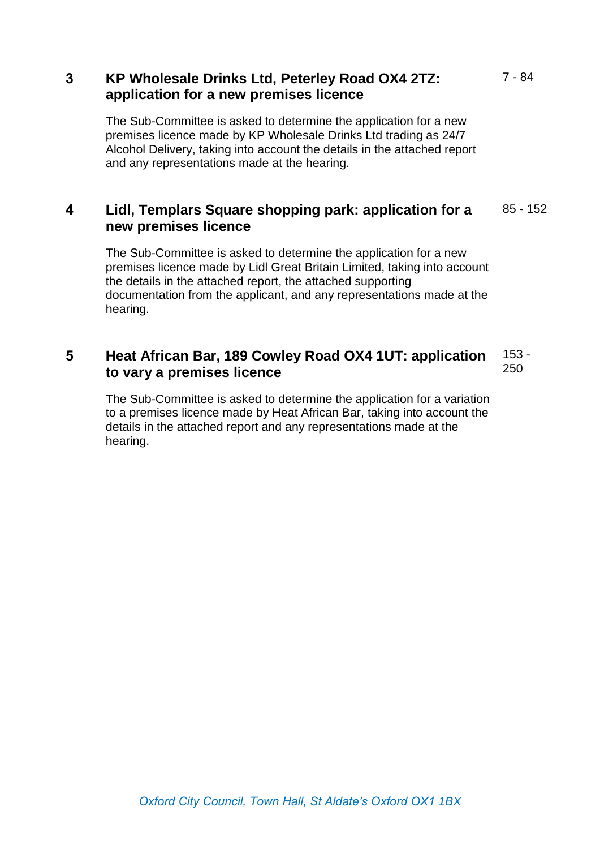| 3 | KP Wholesale Drinks Ltd, Peterley Road OX4 2TZ:<br>application for a new premises licence                                                                                                                                                                                                         | $7 - 84$       |
|---|---------------------------------------------------------------------------------------------------------------------------------------------------------------------------------------------------------------------------------------------------------------------------------------------------|----------------|
|   | The Sub-Committee is asked to determine the application for a new<br>premises licence made by KP Wholesale Drinks Ltd trading as 24/7<br>Alcohol Delivery, taking into account the details in the attached report<br>and any representations made at the hearing.                                 |                |
| 4 | Lidl, Templars Square shopping park: application for a<br>new premises licence                                                                                                                                                                                                                    | $85 - 152$     |
|   | The Sub-Committee is asked to determine the application for a new<br>premises licence made by Lidl Great Britain Limited, taking into account<br>the details in the attached report, the attached supporting<br>documentation from the applicant, and any representations made at the<br>hearing. |                |
| 5 | Heat African Bar, 189 Cowley Road OX4 1UT: application<br>to vary a premises licence                                                                                                                                                                                                              | $153 -$<br>250 |
|   | The Sub-Committee is asked to determine the application for a variation<br>to a premises licence made by Heat African Bar, taking into account the<br>details in the attached report and any representations made at the<br>hearing.                                                              |                |
|   |                                                                                                                                                                                                                                                                                                   |                |